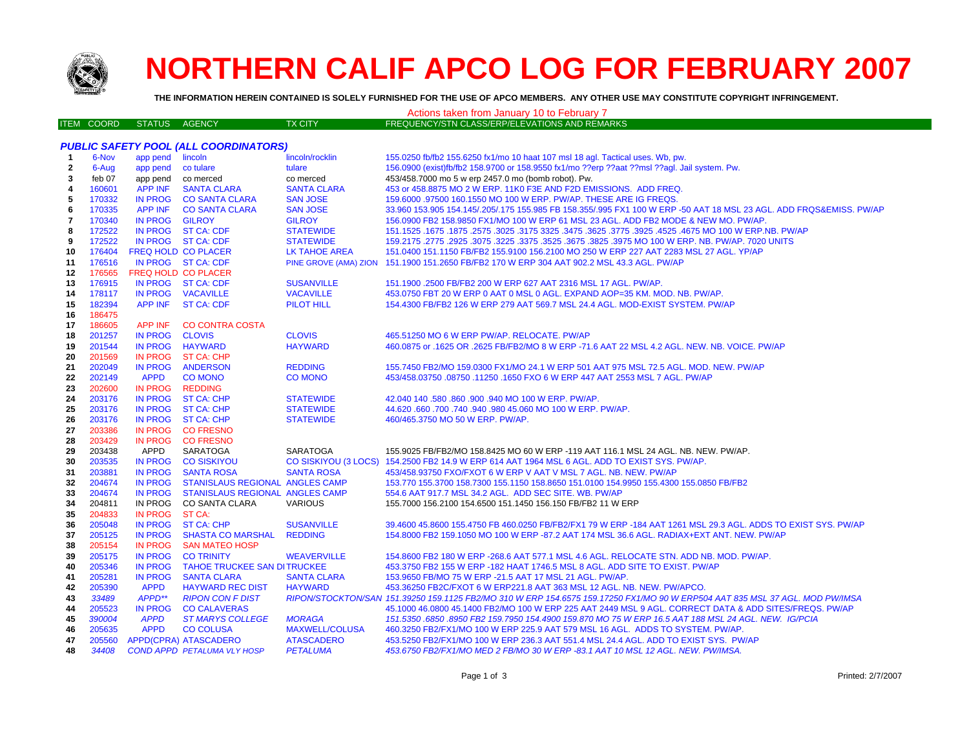

## **NORTHERN CALIF APCO LOG FOR FEBRUARY 2007**

**THE INFORMATION HEREIN CONTAINED IS SOLELY FURNISHED FOR THE USE OF APCO MEMBERS. ANY OTHER USE MAY CONSTITUTE COPYRIGHT INFRINGEMENT.**

| Actions taken from January 10 to February 7 |                   |                               |                                                    |                                |                                                                                                                                                                                                        |
|---------------------------------------------|-------------------|-------------------------------|----------------------------------------------------|--------------------------------|--------------------------------------------------------------------------------------------------------------------------------------------------------------------------------------------------------|
|                                             | <b>ITEM COORD</b> | <b>STATUS</b>                 | AGENCY                                             | <b>TX CITY</b>                 | FREQUENCY/STN CLASS/ERP/ELEVATIONS AND REMARKS                                                                                                                                                         |
|                                             |                   |                               |                                                    |                                |                                                                                                                                                                                                        |
|                                             |                   |                               | <b>PUBLIC SAFETY POOL (ALL COORDINATORS)</b>       |                                |                                                                                                                                                                                                        |
| $\overline{1}$                              | 6-Nov             | app pend                      | lincoln                                            | lincoln/rocklin                | 155.0250 fb/fb2 155.6250 fx1/mo 10 haat 107 msl 18 agl. Tactical uses. Wb, pw.                                                                                                                         |
| 2                                           | 6-Aug             | app pend                      | co tulare                                          | tulare                         | 156.0900 (exist)fb/fb2 158.9700 or 158.9550 fx1/mo ??erp ??aat ??msl ??agl. Jail system. Pw.                                                                                                           |
| 3                                           | feb 07            | app pend                      | co merced                                          | co merced                      | 453/458.7000 mo 5 w erp 2457.0 mo (bomb robot). Pw.                                                                                                                                                    |
| 4                                           | 160601            | <b>APP INF</b>                | <b>SANTA CLARA</b>                                 | <b>SANTA CLARA</b>             | 453 or 458.8875 MO 2 W ERP. 11K0 F3E AND F2D EMISSIONS. ADD FREQ.                                                                                                                                      |
| 5                                           | 170332            | <b>IN PROG</b>                | <b>CO SANTA CLARA</b>                              | <b>SAN JOSE</b>                | 159,6000 .97500 160.1550 MO 100 W ERP. PW/AP. THESE ARE IG FREQS.                                                                                                                                      |
| 6                                           | 170335            | <b>APP INF</b>                | <b>CO SANTA CLARA</b>                              | <b>SAN JOSE</b>                | 33.960 153.905 154.145/.205/.175 155.985 FB 158.355/.995 FX1 100 W ERP -50 AAT 18 MSL 23 AGL. ADD FRQS&EMISS. PW/AP                                                                                    |
| 7                                           | 170340            | <b>IN PROG</b>                | <b>GILROY</b>                                      | <b>GILROY</b>                  | 156.0900 FB2 158.9850 FX1/MO 100 W ERP 61 MSL 23 AGL. ADD FB2 MODE & NEW MO. PW/AP.                                                                                                                    |
| 8                                           | 172522            | <b>IN PROG</b>                | <b>ST CA: CDF</b>                                  | <b>STATEWIDE</b>               | 151.1525 .1675 .1875 .3025 .3775 .3925 .3775 .3925 .3925 .3775 .3925 .4525 .4675 .00 W ERP NB. PW/AP                                                                                                   |
| 9                                           | 172522            |                               | IN PROG ST CA: CDF                                 | <b>STATEWIDE</b>               | 159.2175 .2775 .2925 .3075 .3225 .3375 .3525 .3675 .3825 .3975 MO 100 W ERP. NB. PW/AP. 7020 UNITS                                                                                                     |
| 10                                          | 176404            |                               | FREQ HOLD CO PLACER                                | LK TAHOE AREA                  | 151.0400 151.1150 FB/FB2 155.9100 156.2100 MO 250 W ERP 227 AAT 2283 MSL 27 AGL. YP/AP                                                                                                                 |
| 11                                          | 176516            |                               | IN PROG ST CA: CDF                                 |                                | PINE GROVE (AMA) ZION 151.1900 151.2650 FB/FB2 170 W ERP 304 AAT 902.2 MSL 43.3 AGL. PW/AP                                                                                                             |
| 12                                          | 176565            |                               | FREQ HOLD CO PLACER                                |                                |                                                                                                                                                                                                        |
| 13                                          | 176915            | <b>IN PROG</b>                | IN PROG ST CA: CDF                                 | <b>SUSANVILLE</b>              | 151.1900 .2500 FB/FB2 200 W ERP 627 AAT 2316 MSL 17 AGL. PW/AP.                                                                                                                                        |
| 14<br>15                                    | 178117<br>182394  | <b>APP INF</b>                | <b>VACAVILLE</b>                                   | <b>VACAVILLE</b><br>PILOT HILL | 453.0750 FBT 20 W ERP 0 AAT 0 MSL 0 AGL. EXPAND AOP=35 KM. MOD. NB. PW/AP.<br>154.4300 FB/FB2 126 W ERP 279 AAT 569.7 MSL 24.4 AGL. MOD-EXIST SYSTEM. PW/AP                                            |
| 16                                          | 186475            |                               | <b>ST CA: CDF</b>                                  |                                |                                                                                                                                                                                                        |
| 17                                          | 186605            | <b>APP INF</b>                | <b>CO CONTRA COSTA</b>                             |                                |                                                                                                                                                                                                        |
| 18                                          | 201257            | <b>IN PROG</b>                | <b>CLOVIS</b>                                      | <b>CLOVIS</b>                  | 465.51250 MO 6 W ERP PW/AP. RELOCATE. PW/AP                                                                                                                                                            |
| 19                                          | 201544            | <b>IN PROG</b>                | <b>HAYWARD</b>                                     | <b>HAYWARD</b>                 | 460.0875 or .1625 OR .2625 FB/FB2/MO 8 W ERP -71.6 AAT 22 MSL 4.2 AGL. NEW. NB. VOICE. PW/AP                                                                                                           |
| 20                                          | 201569            | IN PROG                       | <b>ST CA: CHP</b>                                  |                                |                                                                                                                                                                                                        |
| 21                                          | 202049            | <b>IN PROG</b>                | <b>ANDERSON</b>                                    | <b>REDDING</b>                 | 155.7450 FB2/MO 159.0300 FX1/MO 24.1 W ERP 501 AAT 975 MSL 72.5 AGL, MOD, NEW, PW/AP                                                                                                                   |
| 22                                          | 202149            | <b>APPD</b>                   | <b>CO MONO</b>                                     | <b>CO MONO</b>                 | 453/458.03750 .08750 .11250 .1650 FXO 6 W ERP 447 AAT 2553 MSL 7 AGL. PW/AP                                                                                                                            |
| 23                                          | 202600            | <b>IN PROG</b>                | <b>REDDING</b>                                     |                                |                                                                                                                                                                                                        |
| 24                                          | 203176            | <b>IN PROG</b>                | <b>ST CA: CHP</b>                                  | <b>STATEWIDE</b>               | 42.040 140 .580 .860 .900 .940 MO 100 W ERP. PW/AP.                                                                                                                                                    |
| 25                                          | 203176            | <b>IN PROG</b>                | <b>ST CA: CHP</b>                                  | <b>STATEWIDE</b>               | 44.620 .660 .700 .740 .940 .980 45.060 MO 100 W ERP. PW/AP.                                                                                                                                            |
| 26                                          | 203176            | <b>IN PROG</b>                | <b>ST CA: CHP</b>                                  | <b>STATEWIDE</b>               | 460/465.3750 MO 50 W ERP. PW/AP.                                                                                                                                                                       |
| 27                                          | 203386            | IN PROG                       | <b>CO FRESNO</b>                                   |                                |                                                                                                                                                                                                        |
| 28                                          | 203429            | IN PROG                       | <b>CO FRESNO</b>                                   |                                |                                                                                                                                                                                                        |
| 29                                          | 203438            | APPD                          | <b>SARATOGA</b>                                    | <b>SARATOGA</b>                | 155.9025 FB/FB2/MO 158.8425 MO 60 W ERP -119 AAT 116.1 MSL 24 AGL. NB. NEW. PW/AP.                                                                                                                     |
| 30                                          | 203535            | <b>IN PROG</b>                | <b>CO SISKIYOU</b>                                 |                                | CO SISKIYOU (3 LOCS) 154.2500 FB2 14.9 W ERP 614 AAT 1964 MSL 6 AGL. ADD TO EXIST SYS. PW/AP.                                                                                                          |
| 31                                          | 203881            | <b>IN PROG</b>                | <b>SANTA ROSA</b>                                  | <b>SANTA ROSA</b>              | 453/458.93750 FXO/FXOT 6 W ERP V AAT V MSL 7 AGL. NB. NEW. PW/AP                                                                                                                                       |
| 32                                          | 204674            | <b>IN PROG</b>                | STANISLAUS REGIONAL ANGLES CAMP                    |                                | 153.770 155.3700 158.7300 155.1150 158.8650 151.0100 154.9950 155.4300 155.0850 FB/FB2                                                                                                                 |
| 33                                          | 204674            | <b>IN PROG</b>                | <b>STANISLAUS REGIONAL ANGLES CAMP</b>             |                                | 554.6 AAT 917.7 MSL 34.2 AGL. ADD SEC SITE. WB. PW/AP                                                                                                                                                  |
| 34                                          | 204811            | IN PROG                       | <b>CO SANTA CLARA</b>                              | <b>VARIOUS</b>                 | 155,7000 156,2100 154,6500 151,1450 156,150 FB/FB2 11 W ERP                                                                                                                                            |
| 35                                          | 204833            | <b>IN PROG</b>                | ST CA:                                             |                                |                                                                                                                                                                                                        |
| 36                                          | 205048            | <b>IN PROG</b>                | <b>ST CA: CHP</b>                                  | <b>SUSANVILLE</b>              | 39.4600 45.8600 155.4750 FB 460.0250 FB/FB2/FX1 79 W ERP -184 AAT 1261 MSL 29.3 AGL. ADDS TO EXIST SYS. PW/AP                                                                                          |
| 37                                          | 205125            | <b>IN PROG</b>                | <b>SHASTA CO MARSHAL</b>                           | <b>REDDING</b>                 | 154.8000 FB2 159.1050 MO 100 W ERP -87.2 AAT 174 MSL 36.6 AGL. RADIAX+EXT ANT. NEW. PW/AP                                                                                                              |
| 38                                          | 205154            | <b>IN PROG</b>                | <b>SAN MATEO HOSP</b>                              |                                |                                                                                                                                                                                                        |
| 39                                          | 205175            | <b>IN PROG</b>                | <b>CO TRINITY</b>                                  | <b>WEAVERVILLE</b>             | 154.8600 FB2 180 W ERP - 268.6 AAT 577.1 MSL 4.6 AGL. RELOCATE STN. ADD NB. MOD. PW/AP.                                                                                                                |
| 40                                          | 205346            | <b>IN PROG</b>                | <b>TAHOE TRUCKEE SAN DITRUCKEE</b>                 |                                | 453.3750 FB2 155 W ERP -182 HAAT 1746.5 MSL 8 AGL. ADD SITE TO EXIST. PW/AP                                                                                                                            |
| 41                                          | 205281<br>205390  | <b>IN PROG</b><br><b>APPD</b> | <b>SANTA CLARA</b>                                 | <b>SANTA CLARA</b>             | 153.9650 FB/MO 75 W ERP -21.5 AAT 17 MSL 21 AGL. PW/AP.                                                                                                                                                |
| 42<br>43                                    | 33489             | APPD**                        | <b>HAYWARD REC DIST</b><br><b>RIPON CON F DIST</b> | <b>HAYWARD</b>                 | 453.36250 FB2C/FXOT 6 W ERP221.8 AAT 363 MSL 12 AGL. NB. NEW. PW/APCO.<br>RIPON/STOCKTON/SAN 151.39250 159.1125 FB2/MO 310 W ERP 154.6575 159.17250 FX1/MO 90 W ERP504 AAT 835 MSL 37 AGL. MOD PW/IMSA |
| 44                                          | 205523            | <b>IN PROG</b>                | <b>CO CALAVERAS</b>                                |                                | 45.1000 46.0800 45.1400 FB2/MO 100 W ERP 225 AAT 2449 MSL 9 AGL. CORRECT DATA & ADD SITES/FREQS. PW/AP                                                                                                 |
| 45                                          | 390004            | <b>APPD</b>                   | <b>ST MARYS COLLEGE</b>                            | <b>MORAGA</b>                  | 151.5350 .6850 .8950 FB2 159.7950 154.4900 159.870 MO 75 W ERP 16.5 AAT 188 MSL 24 AGL. NEW. IG/PCIA                                                                                                   |
| 46                                          | 205635            | <b>APPD</b>                   | <b>CO COLUSA</b>                                   | <b>MAXWELL/COLUSA</b>          | 460.3250 FB2/FX1/MO 100 W ERP 225.9 AAT 579 MSL 16 AGL. ADDS TO SYSTEM. PW/AP.                                                                                                                         |
| 47                                          | 205560            |                               | APPD(CPRA) ATASCADERO                              | <b>ATASCADERO</b>              | 453.5250 FB2/FX1/MO 100 W ERP 236.3 AAT 551.4 MSL 24.4 AGL. ADD TO EXIST SYS. PW/AP                                                                                                                    |
| 48                                          | 34408             |                               | <b>COND APPD PETALUMA VLY HOSP</b>                 | <b>PETALUMA</b>                | 453.6750 FB2/FX1/MO MED 2 FB/MO 30 W ERP -83.1 AAT 10 MSL 12 AGL. NEW. PW/IMSA.                                                                                                                        |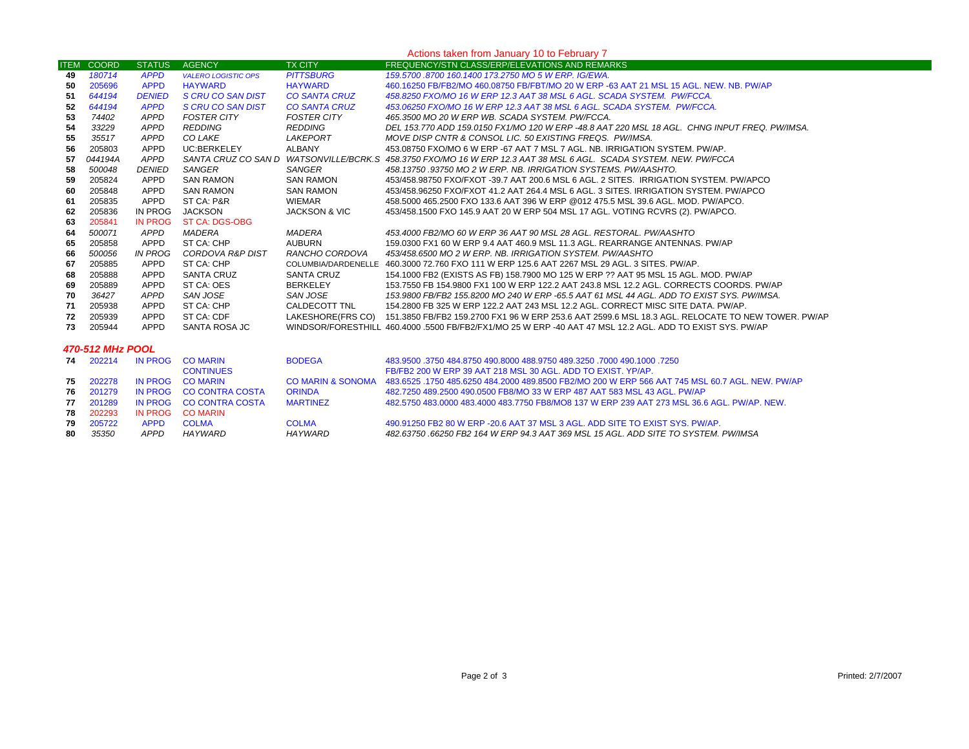| Actions taken from January 10 to February 7 |                   |                |                            |                          |                                                                                                                     |
|---------------------------------------------|-------------------|----------------|----------------------------|--------------------------|---------------------------------------------------------------------------------------------------------------------|
|                                             | <b>ITEM COORD</b> | <b>STATUS</b>  | <b>AGENCY</b>              | <b>TX CITY</b>           | FREQUENCY/STN CLASS/ERP/ELEVATIONS AND REMARKS                                                                      |
| 49                                          | 180714            | <b>APPD</b>    | <b>VALERO LOGISTIC OPS</b> | <b>PITTSBURG</b>         | 159.5700 .8700 160.1400 173.2750 MO 5 W ERP. IG/EWA.                                                                |
| 50                                          | 205696            | <b>APPD</b>    | <b>HAYWARD</b>             | <b>HAYWARD</b>           | 460.16250 FB/FB2/MO 460.08750 FB/FBT/MO 20 W ERP -63 AAT 21 MSL 15 AGL. NEW, NB, PW/AP                              |
| 51                                          | 644194            | <b>DENIED</b>  | S CRU CO SAN DIST          | <b>CO SANTA CRUZ</b>     | 458.8250 FXO/MO 16 W ERP 12.3 AAT 38 MSL 6 AGL. SCADA SYSTEM. PW/FCCA.                                              |
| 52                                          | 644194            | <b>APPD</b>    | S CRU CO SAN DIST          | <b>CO SANTA CRUZ</b>     | 453.06250 FXO/MO 16 W ERP 12.3 AAT 38 MSL 6 AGL, SCADA SYSTEM, PW/FCCA.                                             |
| 53                                          | 74402             | <b>APPD</b>    | FOSTER CITY                | <b>FOSTER CITY</b>       | 465.3500 MO 20 W ERP WB. SCADA SYSTEM. PW/FCCA.                                                                     |
| 54                                          | 33229             | <b>APPD</b>    | REDDING                    | REDDING                  | DEL 153.770 ADD 159.0150 FX1/MO 120 W ERP -48.8 AAT 220 MSL 18 AGL. CHNG INPUT FREQ. PW/IMSA.                       |
| 55                                          | 35517             | <b>APPD</b>    | CO LAKE                    | LAKEPORT                 | MOVE DISP CNTR & CONSOL LIC. 50 EXISTING FREQS. PW/IMSA.                                                            |
| 56                                          | 205803            | <b>APPD</b>    | UC:BERKELEY                | ALBANY                   | 453.08750 FXO/MO 6 W ERP -67 AAT 7 MSL 7 AGL. NB. IRRIGATION SYSTEM. PW/AP.                                         |
| 57                                          | 044194A           | APPD           |                            |                          | SANTA CRUZ CO SAN D WATSONVILLE/BCRK.S 458.3750 FXO/MO 16 W ERP 12.3 AAT 38 MSL 6 AGL. SCADA SYSTEM. NEW. PW/FCCA   |
| 58                                          | 500048            | <b>DENIED</b>  | SANGER                     | SANGER                   | 458.13750.93750 MO 2 W ERP. NB. IRRIGATION SYSTEMS. PW/AASHTO.                                                      |
| 59                                          | 205824            | APPD           | <b>SAN RAMON</b>           | <b>SAN RAMON</b>         | 453/458.98750 FXO/FXOT -39.7 AAT 200.6 MSL 6 AGL. 2 SITES. IRRIGATION SYSTEM. PW/APCO                               |
| -60                                         | 205848            | APPD           | <b>SAN RAMON</b>           | <b>SAN RAMON</b>         | 453/458.96250 FXO/FXOT 41.2 AAT 264.4 MSL 6 AGL. 3 SITES. IRRIGATION SYSTEM, PW/APCO                                |
| 61                                          | 205835            | APPD           | ST CA: P&R                 | WIEMAR                   | 458.5000 465.2500 FXO 133.6 AAT 396 W ERP @012 475.5 MSL 39.6 AGL. MOD. PW/APCO.                                    |
| 62                                          | 205836            | IN PROG        | JACKSON                    | <b>JACKSON &amp; VIC</b> | 453/458.1500 FXO 145.9 AAT 20 W ERP 504 MSL 17 AGL. VOTING RCVRS (2). PW/APCO.                                      |
| 63                                          | 205841            | <b>IN PROG</b> | <b>ST CA: DGS-OBG</b>      |                          |                                                                                                                     |
| 64                                          | 500071            | APPD           | MADERA                     | MADERA                   | 453.4000 FB2/MO 60 W ERP 36 AAT 90 MSL 28 AGL. RESTORAL. PW/AASHTO                                                  |
| 65                                          | 205858            | APPD           | ST CA: CHP                 | AUBURN                   | 159,0300 FX1 60 W ERP 9.4 AAT 460.9 MSL 11.3 AGL, REARRANGE ANTENNAS, PW/AP                                         |
| 66                                          | 500056            | IN PROG        | CORDOVA R&P DIST           | RANCHO CORDOVA           | 453/458.6500 MO 2 W ERP. NB. IRRIGATION SYSTEM. PW/AASHTO                                                           |
| 67                                          | 205885            | APPD           | ST CA: CHP                 |                          | COLUMBIA/DARDENELLE 460.3000 72.760 FXO 111 W ERP 125.6 AAT 2267 MSL 29 AGL, 3 SITES, PW/AP.                        |
| 68                                          | 205888            | APPD           | SANTA CRUZ                 | SANTA CRUZ               | 154.1000 FB2 (EXISTS AS FB) 158.7900 MO 125 W ERP ?? AAT 95 MSL 15 AGL. MOD. PW/AP                                  |
| 69                                          | 205889            | APPD           | ST CA: OES                 | BERKELEY                 | 153.7550 FB 154.9800 FX1 100 W ERP 122.2 AAT 243.8 MSL 12.2 AGL. CORRECTS COORDS, PW/AP                             |
| 70                                          | 36427             | APPD           | SAN JOSE                   | SAN JOSE                 | 153.9800 FB/FB2 155.8200 MO 240 W ERP -65.5 AAT 61 MSL 44 AGL. ADD TO EXIST SYS. PW/IMSA.                           |
| 71                                          | 205938            | APPD           | ST CA: CHP                 | CALDECOTT TNL            | 154.2800 FB 325 W ERP 122.2 AAT 243 MSL 12.2 AGL. CORRECT MISC SITE DATA. PW/AP.                                    |
| 72                                          | 205939            | APPD           | ST CA: CDF                 |                          | LAKESHORE(FRS CO) 151.3850 FB/FB2 159.2700 FX1 96 W ERP 253.6 AAT 2599.6 MSL 18.3 AGL. RELOCATE TO NEW TOWER. PW/AP |
| 73                                          | 205944            | <b>APPD</b>    | SANTA ROSA JC              |                          | WINDSOR/FORESTHILL 460.4000 .5500 FB/FB2/FX1/MO 25 W ERP -40 AAT 47 MSL 12.2 AGL. ADD TO EXIST SYS. PW/AP           |
|                                             |                   |                |                            |                          |                                                                                                                     |
| 470-512 MHz POOL                            |                   |                |                            |                          |                                                                                                                     |
|                                             | 74 202214         | <b>IN PROG</b> | <b>CO MARIN</b>            | <b>BODEGA</b>            | 483,9500 .3750 484,8750 490,8000 488,9750 489,3250 .7000 490,1000 .7250                                             |
|                                             |                   |                | <b>CONTINUES</b>           |                          | FB/FB2 200 W ERP 39 AAT 218 MSL 30 AGL, ADD TO EXIST, YP/AP.                                                        |
|                                             | 75 202278         |                | IN PROG CO MARIN           |                          | CO MARIN & SONOMA 483.6525 .1750 485.6250 484.2000 489.8500 FB2/MO 200 W ERP 566 AAT 745 MSL 60.7 AGL. NEW. PW/AP   |

|    |           |      | <b>76</b> 201279 IN PROG CO CONTRA COSTA | <b>ORINDA</b>   | 482.7250 489.2500 490.0500 FB8/MO 33 W ERP 487 AAT 583 MSL 43 AGL. PW/AP                  |
|----|-----------|------|------------------------------------------|-----------------|-------------------------------------------------------------------------------------------|
|    | 77 201289 |      | IN PROG CO CONTRA COSTA                  | <b>MARTINFZ</b> | 482 5750 483 0000 483 4000 483 7750 FB8/MO8 137 W FRP 239 AAT 273 MSL 36 6 AGL. PW/AP NEW |
|    | 78 202293 |      | IN PROG CO MARIN                         |                 |                                                                                           |
|    | 79 205722 | APPD | COI MA                                   | <b>COLMA</b>    | 490,91250 FB2 80 W ERP -20.6 AAT 37 MSL 3 AGL. ADD SITE TO EXIST SYS. PW/AP.              |
| 80 | 35350     | APPD | HAYWARD                                  | HA YWARD        | 482.63750 .66250 FB2 164 W ERP 94.3 AAT 369 MSL 15 AGL. ADD SITE TO SYSTEM. PW/IMSA       |